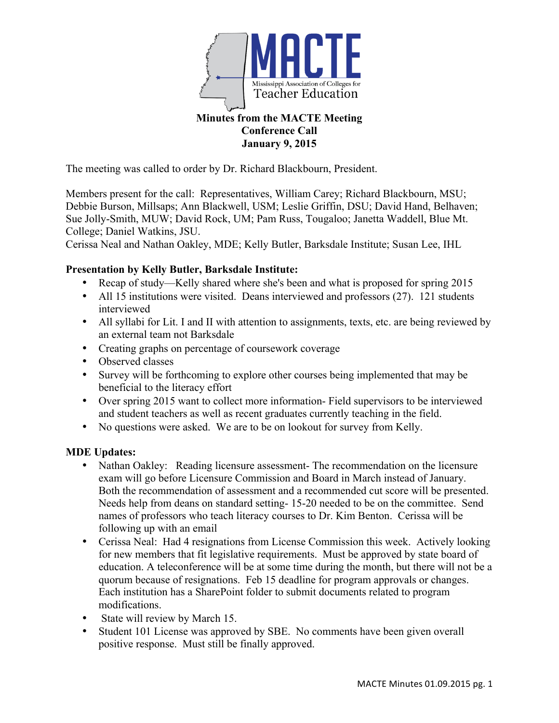

# **Conference Call January 9, 2015**

The meeting was called to order by Dr. Richard Blackbourn, President.

Members present for the call: Representatives, William Carey; Richard Blackbourn, MSU; Debbie Burson, Millsaps; Ann Blackwell, USM; Leslie Griffin, DSU; David Hand, Belhaven; Sue Jolly-Smith, MUW; David Rock, UM; Pam Russ, Tougaloo; Janetta Waddell, Blue Mt. College; Daniel Watkins, JSU.

Cerissa Neal and Nathan Oakley, MDE; Kelly Butler, Barksdale Institute; Susan Lee, IHL

## **Presentation by Kelly Butler, Barksdale Institute:**

- Recap of study—Kelly shared where she's been and what is proposed for spring 2015
- All 15 institutions were visited. Deans interviewed and professors (27). 121 students interviewed
- All syllabi for Lit. I and II with attention to assignments, texts, etc. are being reviewed by an external team not Barksdale
- Creating graphs on percentage of coursework coverage
- Observed classes
- Survey will be forthcoming to explore other courses being implemented that may be beneficial to the literacy effort
- Over spring 2015 want to collect more information- Field supervisors to be interviewed and student teachers as well as recent graduates currently teaching in the field.
- No questions were asked. We are to be on lookout for survey from Kelly.

## **MDE Updates:**

- Nathan Oakley: Reading licensure assessment- The recommendation on the licensure exam will go before Licensure Commission and Board in March instead of January. Both the recommendation of assessment and a recommended cut score will be presented. Needs help from deans on standard setting- 15-20 needed to be on the committee. Send names of professors who teach literacy courses to Dr. Kim Benton. Cerissa will be following up with an email
- Cerissa Neal: Had 4 resignations from License Commission this week. Actively looking for new members that fit legislative requirements. Must be approved by state board of education. A teleconference will be at some time during the month, but there will not be a quorum because of resignations. Feb 15 deadline for program approvals or changes. Each institution has a SharePoint folder to submit documents related to program modifications.
- State will review by March 15.
- Student 101 License was approved by SBE. No comments have been given overall positive response. Must still be finally approved.